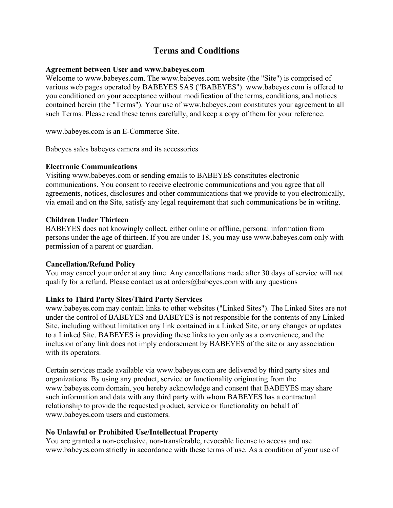# **Terms and Conditions**

#### **Agreement between User and www.babeyes.com**

Welcome to www.babeyes.com. The www.babeyes.com website (the "Site") is comprised of various web pages operated by BABEYES SAS ("BABEYES"). www.babeyes.com is offered to you conditioned on your acceptance without modification of the terms, conditions, and notices contained herein (the "Terms"). Your use of www.babeyes.com constitutes your agreement to all such Terms. Please read these terms carefully, and keep a copy of them for your reference.

www.babeyes.com is an E-Commerce Site.

Babeyes sales babeyes camera and its accessories

### **Electronic Communications**

Visiting www.babeyes.com or sending emails to BABEYES constitutes electronic communications. You consent to receive electronic communications and you agree that all agreements, notices, disclosures and other communications that we provide to you electronically, via email and on the Site, satisfy any legal requirement that such communications be in writing.

## **Children Under Thirteen**

BABEYES does not knowingly collect, either online or offline, personal information from persons under the age of thirteen. If you are under 18, you may use www.babeyes.com only with permission of a parent or guardian.

## **Cancellation/Refund Policy**

You may cancel your order at any time. Any cancellations made after 30 days of service will not qualify for a refund. Please contact us at orders $@$ babeyes.com with any questions

## **Links to Third Party Sites/Third Party Services**

www.babeyes.com may contain links to other websites ("Linked Sites"). The Linked Sites are not under the control of BABEYES and BABEYES is not responsible for the contents of any Linked Site, including without limitation any link contained in a Linked Site, or any changes or updates to a Linked Site. BABEYES is providing these links to you only as a convenience, and the inclusion of any link does not imply endorsement by BABEYES of the site or any association with its operators.

Certain services made available via www.babeyes.com are delivered by third party sites and organizations. By using any product, service or functionality originating from the www.babeyes.com domain, you hereby acknowledge and consent that BABEYES may share such information and data with any third party with whom BABEYES has a contractual relationship to provide the requested product, service or functionality on behalf of www.babeyes.com users and customers.

## **No Unlawful or Prohibited Use/Intellectual Property**

You are granted a non-exclusive, non-transferable, revocable license to access and use www.babeyes.com strictly in accordance with these terms of use. As a condition of your use of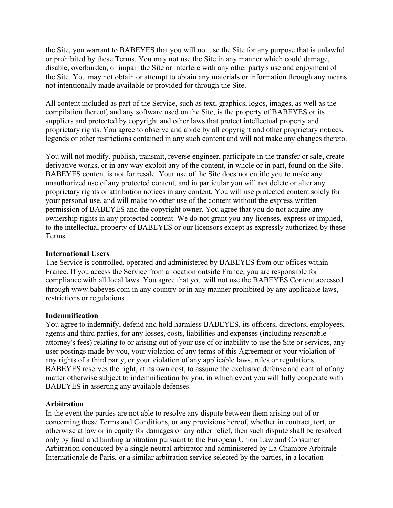the Site, you warrant to BABEYES that you will not use the Site for any purpose that is unlawful or prohibited by these Terms. You may not use the Site in any manner which could damage, disable, overburden, or impair the Site or interfere with any other party's use and enjoyment of the Site. You may not obtain or attempt to obtain any materials or information through any means not intentionally made available or provided for through the Site.

All content included as part of the Service, such as text, graphics, logos, images, as well as the compilation thereof, and any software used on the Site, is the property of BABEYES or its suppliers and protected by copyright and other laws that protect intellectual property and proprietary rights. You agree to observe and abide by all copyright and other proprietary notices, legends or other restrictions contained in any such content and will not make any changes thereto.

You will not modify, publish, transmit, reverse engineer, participate in the transfer or sale, create derivative works, or in any way exploit any of the content, in whole or in part, found on the Site. BABEYES content is not for resale. Your use of the Site does not entitle you to make any unauthorized use of any protected content, and in particular you will not delete or alter any proprietary rights or attribution notices in any content. You will use protected content solely for your personal use, and will make no other use of the content without the express written permission of BABEYES and the copyright owner. You agree that you do not acquire any ownership rights in any protected content. We do not grant you any licenses, express or implied, to the intellectual property of BABEYES or our licensors except as expressly authorized by these Terms.

### **International Users**

The Service is controlled, operated and administered by BABEYES from our offices within France. If you access the Service from a location outside France, you are responsible for compliance with all local laws. You agree that you will not use the BABEYES Content accessed through www.babeyes.com in any country or in any manner prohibited by any applicable laws, restrictions or regulations.

## **Indemnification**

You agree to indemnify, defend and hold harmless BABEYES, its officers, directors, employees, agents and third parties, for any losses, costs, liabilities and expenses (including reasonable attorney's fees) relating to or arising out of your use of or inability to use the Site or services, any user postings made by you, your violation of any terms of this Agreement or your violation of any rights of a third party, or your violation of any applicable laws, rules or regulations. BABEYES reserves the right, at its own cost, to assume the exclusive defense and control of any matter otherwise subject to indemnification by you, in which event you will fully cooperate with BABEYES in asserting any available defenses.

## **Arbitration**

In the event the parties are not able to resolve any dispute between them arising out of or concerning these Terms and Conditions, or any provisions hereof, whether in contract, tort, or otherwise at law or in equity for damages or any other relief, then such dispute shall be resolved only by final and binding arbitration pursuant to the European Union Law and Consumer Arbitration conducted by a single neutral arbitrator and administered by La Chambre Arbitrale Internationale de Paris, or a similar arbitration service selected by the parties, in a location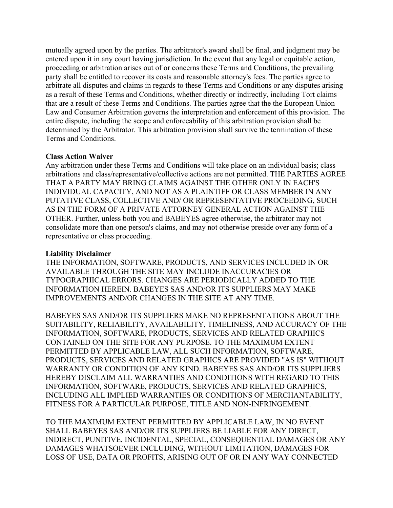mutually agreed upon by the parties. The arbitrator's award shall be final, and judgment may be entered upon it in any court having jurisdiction. In the event that any legal or equitable action, proceeding or arbitration arises out of or concerns these Terms and Conditions, the prevailing party shall be entitled to recover its costs and reasonable attorney's fees. The parties agree to arbitrate all disputes and claims in regards to these Terms and Conditions or any disputes arising as a result of these Terms and Conditions, whether directly or indirectly, including Tort claims that are a result of these Terms and Conditions. The parties agree that the the European Union Law and Consumer Arbitration governs the interpretation and enforcement of this provision. The entire dispute, including the scope and enforceability of this arbitration provision shall be determined by the Arbitrator. This arbitration provision shall survive the termination of these Terms and Conditions.

## **Class Action Waiver**

Any arbitration under these Terms and Conditions will take place on an individual basis; class arbitrations and class/representative/collective actions are not permitted. THE PARTIES AGREE THAT A PARTY MAY BRING CLAIMS AGAINST THE OTHER ONLY IN EACH'S INDIVIDUAL CAPACITY, AND NOT AS A PLAINTIFF OR CLASS MEMBER IN ANY PUTATIVE CLASS, COLLECTIVE AND/ OR REPRESENTATIVE PROCEEDING, SUCH AS IN THE FORM OF A PRIVATE ATTORNEY GENERAL ACTION AGAINST THE OTHER. Further, unless both you and BABEYES agree otherwise, the arbitrator may not consolidate more than one person's claims, and may not otherwise preside over any form of a representative or class proceeding.

## **Liability Disclaimer**

THE INFORMATION, SOFTWARE, PRODUCTS, AND SERVICES INCLUDED IN OR AVAILABLE THROUGH THE SITE MAY INCLUDE INACCURACIES OR TYPOGRAPHICAL ERRORS. CHANGES ARE PERIODICALLY ADDED TO THE INFORMATION HEREIN. BABEYES SAS AND/OR ITS SUPPLIERS MAY MAKE IMPROVEMENTS AND/OR CHANGES IN THE SITE AT ANY TIME.

BABEYES SAS AND/OR ITS SUPPLIERS MAKE NO REPRESENTATIONS ABOUT THE SUITABILITY, RELIABILITY, AVAILABILITY, TIMELINESS, AND ACCURACY OF THE INFORMATION, SOFTWARE, PRODUCTS, SERVICES AND RELATED GRAPHICS CONTAINED ON THE SITE FOR ANY PURPOSE. TO THE MAXIMUM EXTENT PERMITTED BY APPLICABLE LAW, ALL SUCH INFORMATION, SOFTWARE, PRODUCTS, SERVICES AND RELATED GRAPHICS ARE PROVIDED "AS IS" WITHOUT WARRANTY OR CONDITION OF ANY KIND. BABEYES SAS AND/OR ITS SUPPLIERS HEREBY DISCLAIM ALL WARRANTIES AND CONDITIONS WITH REGARD TO THIS INFORMATION, SOFTWARE, PRODUCTS, SERVICES AND RELATED GRAPHICS, INCLUDING ALL IMPLIED WARRANTIES OR CONDITIONS OF MERCHANTABILITY, FITNESS FOR A PARTICULAR PURPOSE, TITLE AND NON-INFRINGEMENT.

TO THE MAXIMUM EXTENT PERMITTED BY APPLICABLE LAW, IN NO EVENT SHALL BABEYES SAS AND/OR ITS SUPPLIERS BE LIABLE FOR ANY DIRECT, INDIRECT, PUNITIVE, INCIDENTAL, SPECIAL, CONSEQUENTIAL DAMAGES OR ANY DAMAGES WHATSOEVER INCLUDING, WITHOUT LIMITATION, DAMAGES FOR LOSS OF USE, DATA OR PROFITS, ARISING OUT OF OR IN ANY WAY CONNECTED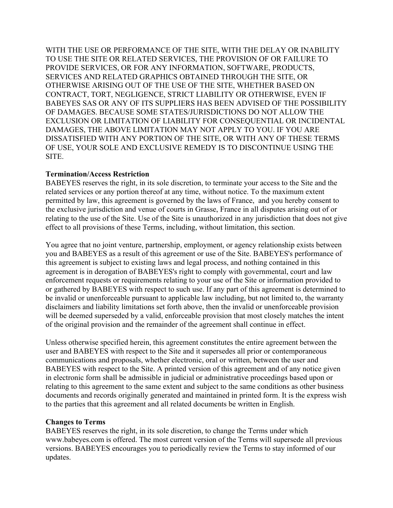WITH THE USE OR PERFORMANCE OF THE SITE, WITH THE DELAY OR INABILITY TO USE THE SITE OR RELATED SERVICES, THE PROVISION OF OR FAILURE TO PROVIDE SERVICES, OR FOR ANY INFORMATION, SOFTWARE, PRODUCTS, SERVICES AND RELATED GRAPHICS OBTAINED THROUGH THE SITE, OR OTHERWISE ARISING OUT OF THE USE OF THE SITE, WHETHER BASED ON CONTRACT, TORT, NEGLIGENCE, STRICT LIABILITY OR OTHERWISE, EVEN IF BABEYES SAS OR ANY OF ITS SUPPLIERS HAS BEEN ADVISED OF THE POSSIBILITY OF DAMAGES. BECAUSE SOME STATES/JURISDICTIONS DO NOT ALLOW THE EXCLUSION OR LIMITATION OF LIABILITY FOR CONSEQUENTIAL OR INCIDENTAL DAMAGES, THE ABOVE LIMITATION MAY NOT APPLY TO YOU. IF YOU ARE DISSATISFIED WITH ANY PORTION OF THE SITE, OR WITH ANY OF THESE TERMS OF USE, YOUR SOLE AND EXCLUSIVE REMEDY IS TO DISCONTINUE USING THE SITE.

### **Termination/Access Restriction**

BABEYES reserves the right, in its sole discretion, to terminate your access to the Site and the related services or any portion thereof at any time, without notice. To the maximum extent permitted by law, this agreement is governed by the laws of France, and you hereby consent to the exclusive jurisdiction and venue of courts in Grasse, France in all disputes arising out of or relating to the use of the Site. Use of the Site is unauthorized in any jurisdiction that does not give effect to all provisions of these Terms, including, without limitation, this section.

You agree that no joint venture, partnership, employment, or agency relationship exists between you and BABEYES as a result of this agreement or use of the Site. BABEYES's performance of this agreement is subject to existing laws and legal process, and nothing contained in this agreement is in derogation of BABEYES's right to comply with governmental, court and law enforcement requests or requirements relating to your use of the Site or information provided to or gathered by BABEYES with respect to such use. If any part of this agreement is determined to be invalid or unenforceable pursuant to applicable law including, but not limited to, the warranty disclaimers and liability limitations set forth above, then the invalid or unenforceable provision will be deemed superseded by a valid, enforceable provision that most closely matches the intent of the original provision and the remainder of the agreement shall continue in effect.

Unless otherwise specified herein, this agreement constitutes the entire agreement between the user and BABEYES with respect to the Site and it supersedes all prior or contemporaneous communications and proposals, whether electronic, oral or written, between the user and BABEYES with respect to the Site. A printed version of this agreement and of any notice given in electronic form shall be admissible in judicial or administrative proceedings based upon or relating to this agreement to the same extent and subject to the same conditions as other business documents and records originally generated and maintained in printed form. It is the express wish to the parties that this agreement and all related documents be written in English.

#### **Changes to Terms**

BABEYES reserves the right, in its sole discretion, to change the Terms under which www.babeyes.com is offered. The most current version of the Terms will supersede all previous versions. BABEYES encourages you to periodically review the Terms to stay informed of our updates.